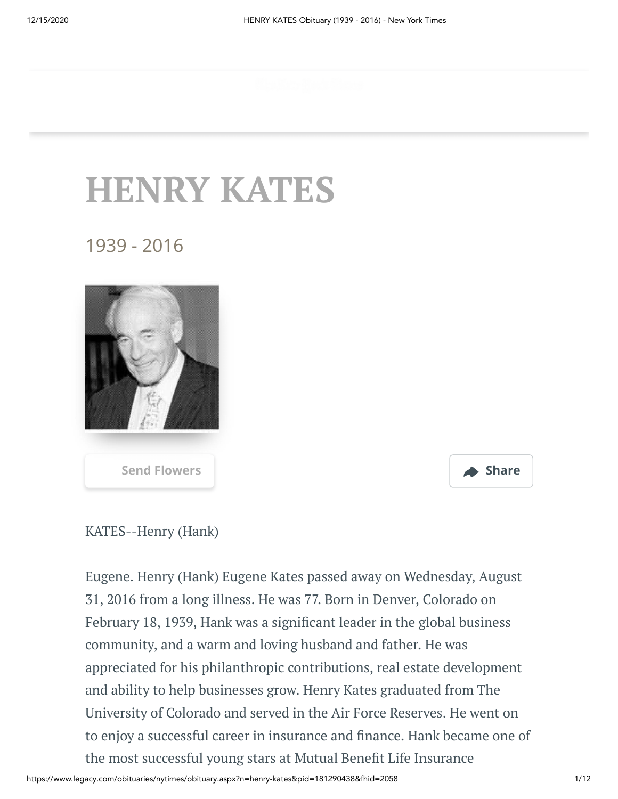## **HENRY KATES**

## 1939 - 2016





## KATES--Henry (Hank)

Eugene. Henry (Hank) Eugene Kates passed away on Wednesday, August 31, 2016 from a long illness. He was 77. Born in Denver, Colorado on February 18, 1939, Hank was a significant leader in the global business community, and a warm and loving husband and father. He was appreciated for his philanthropic contributions, real estate development and ability to help businesses grow. Henry Kates graduated from The University of Colorado and served in the Air Force Reserves. He went on to enjoy a successful career in insurance and finance. Hank became one of the most successful young stars at Mutual Benefit Life Insurance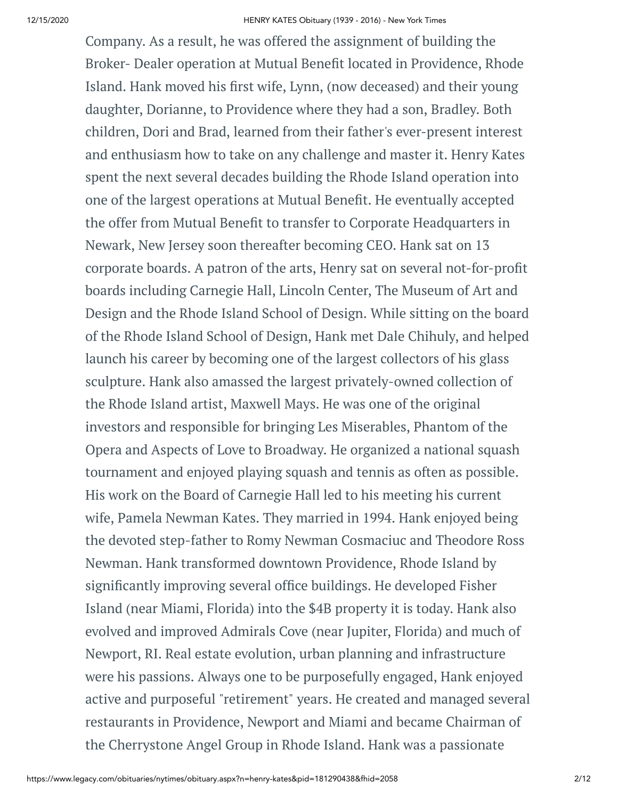Company. As a result, he was offered the assignment of building the Broker- Dealer operation at Mutual Benefit located in Providence, Rhode Island. Hank moved his first wife, Lynn, (now deceased) and their young daughter, Dorianne, to Providence where they had a son, Bradley. Both children, Dori and Brad, learned from their father's ever-present interest and enthusiasm how to take on any challenge and master it. Henry Kates spent the next several decades building the Rhode Island operation into one of the largest operations at Mutual Benefit. He eventually accepted the offer from Mutual Benefit to transfer to Corporate Headquarters in Newark, New Jersey soon thereafter becoming CEO. Hank sat on 13 corporate boards. A patron of the arts, Henry sat on several not-for-profit boards including Carnegie Hall, Lincoln Center, The Museum of Art and Design and the Rhode Island School of Design. While sitting on the board of the Rhode Island School of Design, Hank met Dale Chihuly, and helped launch his career by becoming one of the largest collectors of his glass sculpture. Hank also amassed the largest privately-owned collection of the Rhode Island artist, Maxwell Mays. He was one of the original investors and responsible for bringing Les Miserables, Phantom of the Opera and Aspects of Love to Broadway. He organized a national squash tournament and enjoyed playing squash and tennis as often as possible. His work on the Board of Carnegie Hall led to his meeting his current wife, Pamela Newman Kates. They married in 1994. Hank enjoyed being the devoted step-father to Romy Newman Cosmaciuc and Theodore Ross Newman. Hank transformed downtown Providence, Rhode Island by significantly improving several office buildings. He developed Fisher Island (near Miami, Florida) into the \$4B property it is today. Hank also evolved and improved Admirals Cove (near Jupiter, Florida) and much of Newport, RI. Real estate evolution, urban planning and infrastructure were his passions. Always one to be purposefully engaged, Hank enjoyed active and purposeful "retirement" years. He created and managed several restaurants in Providence, Newport and Miami and became Chairman of the Cherrystone Angel Group in Rhode Island. Hank was a passionate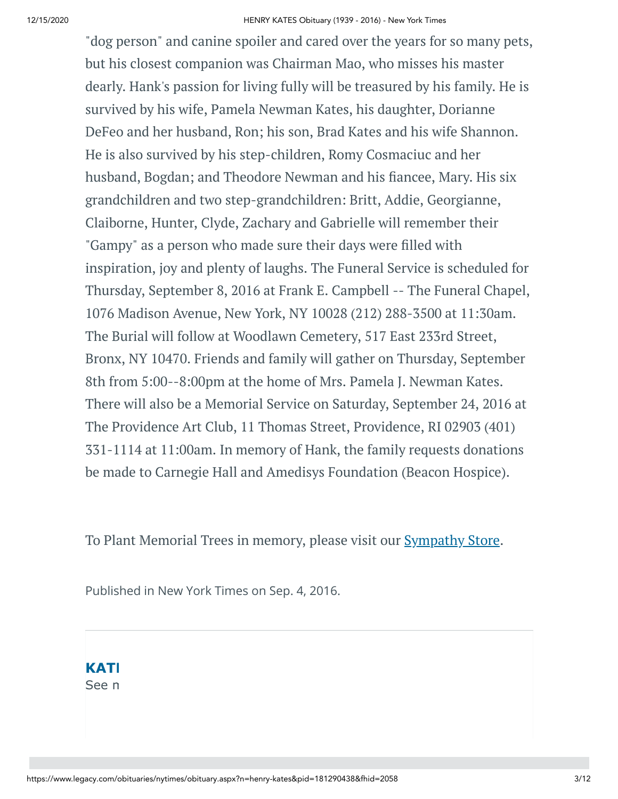"dog person" and canine spoiler and cared over the years for so many pets, but his closest companion was Chairman Mao, who misses his master dearly. Hank's passion for living fully will be treasured by his family. He is survived by his wife, Pamela Newman Kates, his daughter, Dorianne DeFeo and her husband, Ron; his son, Brad Kates and his wife Shannon. He is also survived by his step-children, Romy Cosmaciuc and her husband, Bogdan; and Theodore Newman and his fiancee, Mary. His six grandchildren and two step-grandchildren: Britt, Addie, Georgianne, Claiborne, Hunter, Clyde, Zachary and Gabrielle will remember their "Gampy" as a person who made sure their days were filled with inspiration, joy and plenty of laughs. The Funeral Service is scheduled for Thursday, September 8, 2016 at Frank E. Campbell -- The Funeral Chapel, 1076 Madison Avenue, New York, NY 10028 (212) 288-3500 at 11:30am. The Burial will follow at Woodlawn Cemetery, 517 East 233rd Street, Bronx, NY 10470. Friends and family will gather on Thursday, September 8th from 5:00--8:00pm at the home of Mrs. Pamela J. Newman Kates. There will also be a Memorial Service on Saturday, September 24, 2016 at The Providence Art Club, 11 Thomas Street, Providence, RI 02903 (401) 331-1114 at 11:00am. In memory of Hank, the family requests donations be made to Carnegie Hall and Amedisys Foundation (Beacon Hospice).

To Plant Memorial Trees in memory, please visit our **[Sympathy](https://sympathy.legacy.com/en-us/funeral-flowers/name/henry-kates-funeral-flowers/p181290438/?affiliateId=186&pm=240) Store**.

Published in New York Times on Sep. 4, 2016.